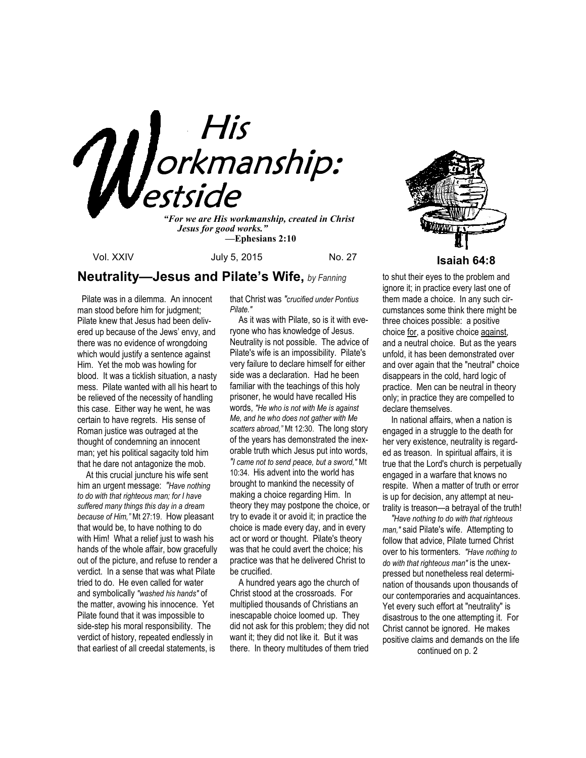

*"For we are His workmanship, created in Christ Jesus for good works." —***Ephesians 2:10**

Vol. XXIV **July 5, 2015** No. 27 **Isaiah 64:8** 

## **Neutrality—Jesus and Pilate's Wife,** *by Fanning*

 Pilate was in a dilemma. An innocent man stood before him for judgment; Pilate knew that Jesus had been delivered up because of the Jews' envy, and there was no evidence of wrongdoing which would justify a sentence against Him. Yet the mob was howling for blood. It was a ticklish situation, a nasty mess. Pilate wanted with all his heart to be relieved of the necessity of handling this case. Either way he went, he was certain to have regrets. His sense of Roman justice was outraged at the thought of condemning an innocent man; yet his political sagacity told him that he dare not antagonize the mob.

 At this crucial juncture his wife sent him an urgent message: *"Have nothing to do with that righteous man; for I have suffered many things this day in a dream because of Him,"* Mt 27:19. How pleasant that would be, to have nothing to do with Him! What a relief just to wash his hands of the whole affair, bow gracefully out of the picture, and refuse to render a verdict. In a sense that was what Pilate tried to do. He even called for water and symbolically *"washed his hands"* of the matter, avowing his innocence. Yet Pilate found that it was impossible to side-step his moral responsibility. The verdict of history, repeated endlessly in that earliest of all creedal statements, is

that Christ was *"crucified under Pontius Pilate."* 

 As it was with Pilate, so is it with everyone who has knowledge of Jesus. Neutrality is not possible. The advice of Pilate's wife is an impossibility. Pilate's very failure to declare himself for either side was a declaration. Had he been familiar with the teachings of this holy prisoner, he would have recalled His words, *"He who is not with Me is against Me, and he who does not gather with Me scatters abroad,"* Mt 12:30. The long story of the years has demonstrated the inexorable truth which Jesus put into words, *"I came not to send peace, but a sword,"* Mt 10:34. His advent into the world has brought to mankind the necessity of making a choice regarding Him. In theory they may postpone the choice, or try to evade it or avoid it; in practice the choice is made every day, and in every act or word or thought. Pilate's theory was that he could avert the choice; his practice was that he delivered Christ to be crucified.

 A hundred years ago the church of Christ stood at the crossroads. For multiplied thousands of Christians an inescapable choice loomed up. They did not ask for this problem; they did not want it; they did not like it. But it was there. In theory multitudes of them tried



to shut their eyes to the problem and ignore it; in practice every last one of them made a choice. In any such circumstances some think there might be three choices possible: a positive choice for, a positive choice against, and a neutral choice. But as the years unfold, it has been demonstrated over and over again that the "neutral" choice disappears in the cold, hard logic of practice. Men can be neutral in theory only; in practice they are compelled to declare themselves.

 In national affairs, when a nation is engaged in a struggle to the death for her very existence, neutrality is regarded as treason. In spiritual affairs, it is true that the Lord's church is perpetually engaged in a warfare that knows no respite. When a matter of truth or error is up for decision, any attempt at neutrality is treason—a betrayal of the truth!

 *"Have nothing to do with that righteous man,"* said Pilate's wife. Attempting to follow that advice, Pilate turned Christ over to his tormenters. *"Have nothing to do with that righteous man"* is the unexpressed but nonetheless real determination of thousands upon thousands of our contemporaries and acquaintances. Yet every such effort at "neutrality" is disastrous to the one attempting it. For Christ cannot be ignored. He makes positive claims and demands on the life

continued on p. 2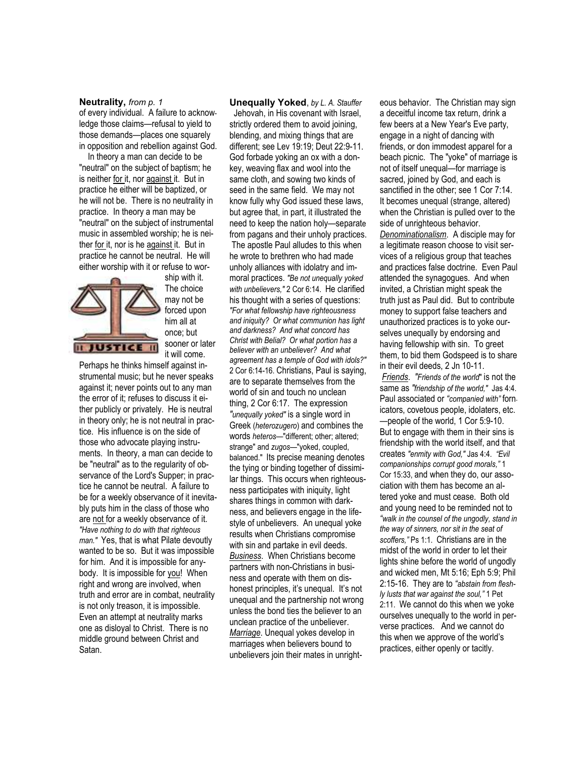#### **Neutrality,** *from p. 1*

of every individual. A failure to acknowledge those claims—refusal to yield to those demands—places one squarely in opposition and rebellion against God.

 In theory a man can decide to be "neutral" on the subject of baptism; he is neither for it, nor against it. But in practice he either will be baptized, or he will not be. There is no neutrality in practice. In theory a man may be "neutral" on the subject of instrumental music in assembled worship; he is neither for it, nor is he against it. But in practice he cannot be neutral. He will either worship with it or refuse to wor-



ship with it. The choice may not be forced upon him all at once; but sooner or later it will come.

Perhaps he thinks himself against instrumental music; but he never speaks against it; never points out to any man the error of it; refuses to discuss it either publicly or privately. He is neutral in theory only; he is not neutral in practice. His influence is on the side of those who advocate playing instruments. In theory, a man can decide to be "neutral" as to the regularity of observance of the Lord's Supper; in practice he cannot be neutral. A failure to be for a weekly observance of it inevitably puts him in the class of those who are not for a weekly observance of it. *"Have nothing to do with that righteous man."* Yes, that is what Pilate devoutly wanted to be so. But it was impossible for him. And it is impossible for anybody. It is impossible for you! When right and wrong are involved, when truth and error are in combat, neutrality is not only treason, it is impossible. Even an attempt at neutrality marks one as disloyal to Christ. There is no middle ground between Christ and Satan.

#### **Unequally Yoked**, *by L. A. Stauffer*

 Jehovah, in His covenant with Israel, strictly ordered them to avoid joining, blending, and mixing things that are different; see Lev 19:19; Deut 22:9-11. God forbade yoking an ox with a donkey, weaving flax and wool into the same cloth, and sowing two kinds of seed in the same field. We may not know fully why God issued these laws, but agree that, in part, it illustrated the need to keep the nation holy—separate from pagans and their unholy practices. The apostle Paul alludes to this when he wrote to brethren who had made unholy alliances with idolatry and immoral practices. *"Be not unequally yoked with unbelievers,"* 2 Cor 6:14. He clarified his thought with a series of questions: *"For what fellowship have righteousness and iniquity? Or what communion has light and darkness? And what concord has Christ with Belial? Or what portion has a believer with an unbeliever? And what agreement has a temple of God with idols?"* 2 Cor 6:14-16. Christians, Paul is saying, are to separate themselves from the world of sin and touch no unclean thing, 2 Cor 6:17. The expression *"unequally yoked"* is a single word in Greek (*heterozugero*) and combines the words *heteros—*"different; other; altered; strange" and *zugos—*"yoked, coupled, balanced." Its precise meaning denotes the tying or binding together of dissimilar things. This occurs when righteousness participates with iniquity, light shares things in common with darkness, and believers engage in the lifestyle of unbelievers. An unequal yoke results when Christians compromise with sin and partake in evil deeds. *Business*. When Christians become partners with non-Christians in business and operate with them on dishonest principles, it's unequal. It's not unequal and the partnership not wrong unless the bond ties the believer to an unclean practice of the unbeliever. *Marriage*. Unequal yokes develop in marriages when believers bound to unbelievers join their mates in unright-

eous behavior. The Christian may sign a deceitful income tax return, drink a few beers at a New Year's Eve party, engage in a night of dancing with friends, or don immodest apparel for a beach picnic. The "yoke" of marriage is not of itself unequal—for marriage is sacred, joined by God, and each is sanctified in the other; see 1 Cor 7:14. It becomes unequal (strange, altered) when the Christian is pulled over to the side of unrighteous behavior. *Denominationalism*. A disciple may for a legitimate reason choose to visit services of a religious group that teaches and practices false doctrine. Even Paul attended the synagogues. And when invited, a Christian might speak the truth just as Paul did. But to contribute money to support false teachers and unauthorized practices is to yoke ourselves unequally by endorsing and having fellowship with sin. To greet them, to bid them Godspeed is to share in their evil deeds, 2 Jn 10-11. *Friends*. *"Friends of the world*" is not the same as *"friendship of the world,"* Jas 4:4. Paul associated or *"companied with"* fornicators, covetous people, idolaters, etc. —people of the world, 1 Cor 5:9-10. But to engage with them in their sins is friendship with the world itself, and that creates *"enmity with God,"* Jas 4:4. *"Evil companionships corrupt good morals,"* 1 Cor 15:33, and when they do, our association with them has become an altered yoke and must cease. Both old and young need to be reminded not to *"walk in the counsel of the ungodly, stand in the way of sinners, nor sit in the seat of scoffers,"* Ps 1:1. Christians are in the midst of the world in order to let their lights shine before the world of ungodly and wicked men, Mt 5:16; Eph 5:9; Phil 2:15-16. They are to *"abstain from fleshly lusts that war against the soul,"* 1 Pet 2:11. We cannot do this when we yoke ourselves unequally to the world in perverse practices. And we cannot do this when we approve of the world's practices, either openly or tacitly.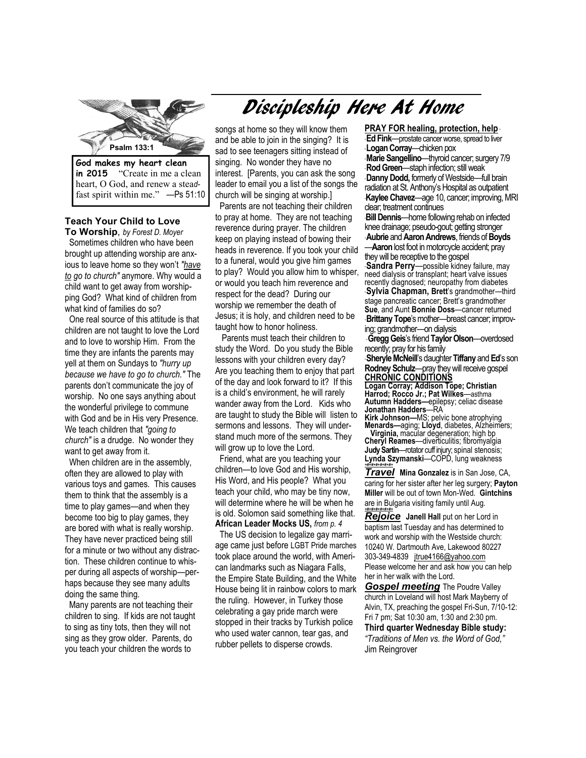

**in 2015** "Create in me a clean heart, O God, and renew a stea*d*fast spirit within me." —Ps 51:10

### **Teach Your Child to Love**

 **To Worship**, *by Forest D. Moyer*  Sometimes children who have been brought up attending worship are anxious to leave home so they won't *"have to go to church"* anymore. Why would a child want to get away from worshipping God? What kind of children from what kind of families do so?

 One real source of this attitude is that children are not taught to love the Lord and to love to worship Him. From the time they are infants the parents may yell at them on Sundays to *"hurry up because we have to go to church."* The parents don't communicate the joy of worship. No one says anything about the wonderful privilege to commune with God and be in His very Presence. We teach children that *"going to church"* is a drudge. No wonder they want to get away from it.

 When children are in the assembly, often they are allowed to play with various toys and games. This causes them to think that the assembly is a time to play games—and when they become too big to play games, they are bored with what is really worship. They have never practiced being still for a minute or two without any distraction. These children continue to whisper during all aspects of worship—perhaps because they see many adults doing the same thing.

 Many parents are not teaching their children to sing. If kids are not taught to sing as tiny tots, then they will not sing as they grow older. Parents, do you teach your children the words to

# Discipleship Here At Home

songs at home so they will know them and be able to join in the singing? It is sad to see teenagers sitting instead of singing. No wonder they have no interest. [Parents, you can ask the song leader to email you a list of the songs the church will be singing at worship.]

 Parents are not teaching their children to pray at home. They are not teaching reverence during prayer. The children keep on playing instead of bowing their heads in reverence. If you took your child to a funeral, would you give him games to play? Would you allow him to whisper, or would you teach him reverence and respect for the dead? During our worship we remember the death of Jesus; it is holy, and children need to be taught how to honor holiness.

 Parents must teach their children to study the Word. Do you study the Bible lessons with your children every day? Are you teaching them to enjoy that part of the day and look forward to it? If this is a child's environment, he will rarely wander away from the Lord. Kids who are taught to study the Bible will listen to sermons and lessons. They will understand much more of the sermons. They will grow up to love the Lord.

 Friend, what are you teaching your children—to love God and His worship, His Word, and His people? What you teach your child, who may be tiny now, will determine where he will be when he is old. Solomon said something like that. **African Leader Mocks US,** *from p. 4* 

 The US decision to legalize gay marriage came just before LGBT Pride marches took place around the world, with American landmarks such as Niagara Falls, the Empire State Building, and the White House being lit in rainbow colors to mark the ruling. However, in Turkey those celebrating a gay pride march were stopped in their tracks by Turkish police who used water cannon, tear gas, and rubber pellets to disperse crowds.

clear; treatment continues **PRAY FOR healing, protection, help** \* \* **Ed Fink**—prostate cancer worse, spread to liver \* **Logan Corray**—chicken pox \* **Marie Sangellino**—thyroid cancer; surgery 7/9 \* **Rod Green**—staph infection; still weak \* **Danny Dodd,** formerly of Westside—full brain radiation at St. Anthony's Hospital as outpatient \***Kaylee Chavez**—age 10, cancer; improving, MRI \***Bill Dennis**—home following rehab on infected

knee drainage; pseudo-gout; getting stronger \* **Aubrie** and **Aaron Andrews**, friends of **Boyds**  —**Aaron** lost foot in motorcycle accident; pray

they will be receptive to the gospel **Sandra Perry**—possible kidney failure, may need dialysis or transplant; heart valve issues recently diagnosed; neuropathy from diabetes \* **Sylvia Chapman, Brett**'s grandmother—third stage pancreatic cancer; Brett's grandmother **Sue**, and Aunt **Bonnie Doss**—cancer returned \* **Brittany Tope**'s mother—breast cancer; improving; grandmother—on dialysis

\* **Gregg Geis**'s friend **Taylor Olson**—overdosed recently; pray for his family

\* **Sheryle McNeill**'s daughter **Tiffany** and **Ed**'s son **Rodney Schulz**—pray they will receive gospel **CHRONIC CONDITIONS** 

**Logan Corray; Addison Tope; Christian Harrod; Rocco Jr.; Pat Wilkes**—asthma **Autumn Hadders—**epilepsy; celiac disease **Jonathan Hadders**—RA

**Kirk Johnson—**MS; pelvic bone atrophying **Menards—**aging; **Lloyd**, diabetes, Alzheimers; **Virginia,** macular degeneration; high bp **Cheryl Reames**—diverticulitis; fibromyalgia

**Judy Sartin**—rotator cuff injury; spinal stenosis; **Lynda Szymanski**—COPD, lung weakness *+#+#+#+#+#+#+*

*Travel* **Mina Gonzalez** is in San Jose, CA, caring for her sister after her leg surgery; **Payton Miller** will be out of town Mon-Wed. **Gintchins**  are in Bulgaria visiting family until Aug. *+#+#+#+#+#+#+*

*Rejoice* **Janell Hall** put on her Lord in baptism last Tuesday and has determined to work and worship with the Westside church: 10240 W. Dartmouth Ave, Lakewood 80227 303-349-4839 jtrue4166@yahoo.com Please welcome her and ask how you can help her in her walk with the Lord.

*Gospel meeting* The Poudre Valley church in Loveland will host Mark Mayberry of Alvin, TX, preaching the gospel Fri-Sun, 7/10-12: Fri 7 pm; Sat 10:30 am, 1:30 and 2:30 pm.

**Third quarter Wednesday Bible study:**  *"Traditions of Men vs. the Word of God,"*  Jim Reingrover